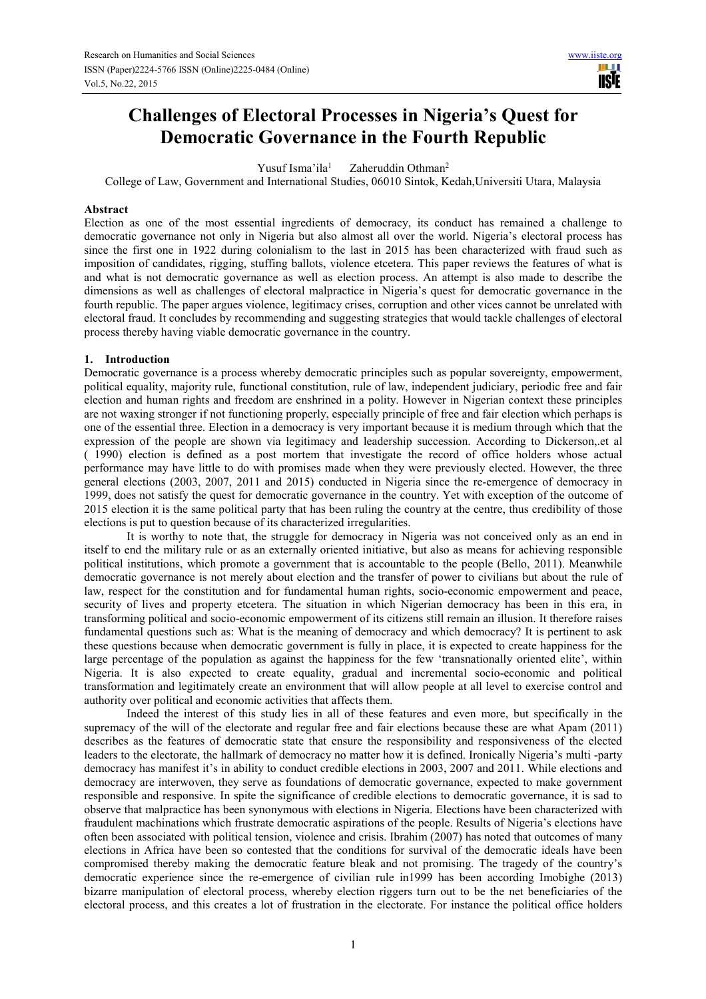# **Challenges of Electoral Processes in Nigeria's Quest for Democratic Governance in the Fourth Republic**

Yusuf Isma'ila<sup>1</sup> Zaheruddin Othman<sup>2</sup>

College of Law, Government and International Studies, 06010 Sintok, Kedah,Universiti Utara, Malaysia

#### **Abstract**

Election as one of the most essential ingredients of democracy, its conduct has remained a challenge to democratic governance not only in Nigeria but also almost all over the world. Nigeria's electoral process has since the first one in 1922 during colonialism to the last in 2015 has been characterized with fraud such as imposition of candidates, rigging, stuffing ballots, violence etcetera. This paper reviews the features of what is and what is not democratic governance as well as election process. An attempt is also made to describe the dimensions as well as challenges of electoral malpractice in Nigeria's quest for democratic governance in the fourth republic. The paper argues violence, legitimacy crises, corruption and other vices cannot be unrelated with electoral fraud. It concludes by recommending and suggesting strategies that would tackle challenges of electoral process thereby having viable democratic governance in the country.

## **1. Introduction**

Democratic governance is a process whereby democratic principles such as popular sovereignty, empowerment, political equality, majority rule, functional constitution, rule of law, independent judiciary, periodic free and fair election and human rights and freedom are enshrined in a polity. However in Nigerian context these principles are not waxing stronger if not functioning properly, especially principle of free and fair election which perhaps is one of the essential three. Election in a democracy is very important because it is medium through which that the expression of the people are shown via legitimacy and leadership succession. According to Dickerson,.et al ( 1990) election is defined as a post mortem that investigate the record of office holders whose actual performance may have little to do with promises made when they were previously elected. However, the three general elections (2003, 2007, 2011 and 2015) conducted in Nigeria since the re-emergence of democracy in 1999, does not satisfy the quest for democratic governance in the country. Yet with exception of the outcome of 2015 election it is the same political party that has been ruling the country at the centre, thus credibility of those elections is put to question because of its characterized irregularities.

It is worthy to note that, the struggle for democracy in Nigeria was not conceived only as an end in itself to end the military rule or as an externally oriented initiative, but also as means for achieving responsible political institutions, which promote a government that is accountable to the people (Bello, 2011). Meanwhile democratic governance is not merely about election and the transfer of power to civilians but about the rule of law, respect for the constitution and for fundamental human rights, socio-economic empowerment and peace, security of lives and property etcetera. The situation in which Nigerian democracy has been in this era, in transforming political and socio-economic empowerment of its citizens still remain an illusion. It therefore raises fundamental questions such as: What is the meaning of democracy and which democracy? It is pertinent to ask these questions because when democratic government is fully in place, it is expected to create happiness for the large percentage of the population as against the happiness for the few 'transnationally oriented elite', within Nigeria. It is also expected to create equality, gradual and incremental socio-economic and political transformation and legitimately create an environment that will allow people at all level to exercise control and authority over political and economic activities that affects them.

Indeed the interest of this study lies in all of these features and even more, but specifically in the supremacy of the will of the electorate and regular free and fair elections because these are what Apam (2011) describes as the features of democratic state that ensure the responsibility and responsiveness of the elected leaders to the electorate, the hallmark of democracy no matter how it is defined. Ironically Nigeria's multi -party democracy has manifest it's in ability to conduct credible elections in 2003, 2007 and 2011. While elections and democracy are interwoven, they serve as foundations of democratic governance, expected to make government responsible and responsive. In spite the significance of credible elections to democratic governance, it is sad to observe that malpractice has been synonymous with elections in Nigeria. Elections have been characterized with fraudulent machinations which frustrate democratic aspirations of the people. Results of Nigeria's elections have often been associated with political tension, violence and crisis. Ibrahim (2007) has noted that outcomes of many elections in Africa have been so contested that the conditions for survival of the democratic ideals have been compromised thereby making the democratic feature bleak and not promising. The tragedy of the country's democratic experience since the re-emergence of civilian rule in1999 has been according Imobighe (2013) bizarre manipulation of electoral process, whereby election riggers turn out to be the net beneficiaries of the electoral process, and this creates a lot of frustration in the electorate. For instance the political office holders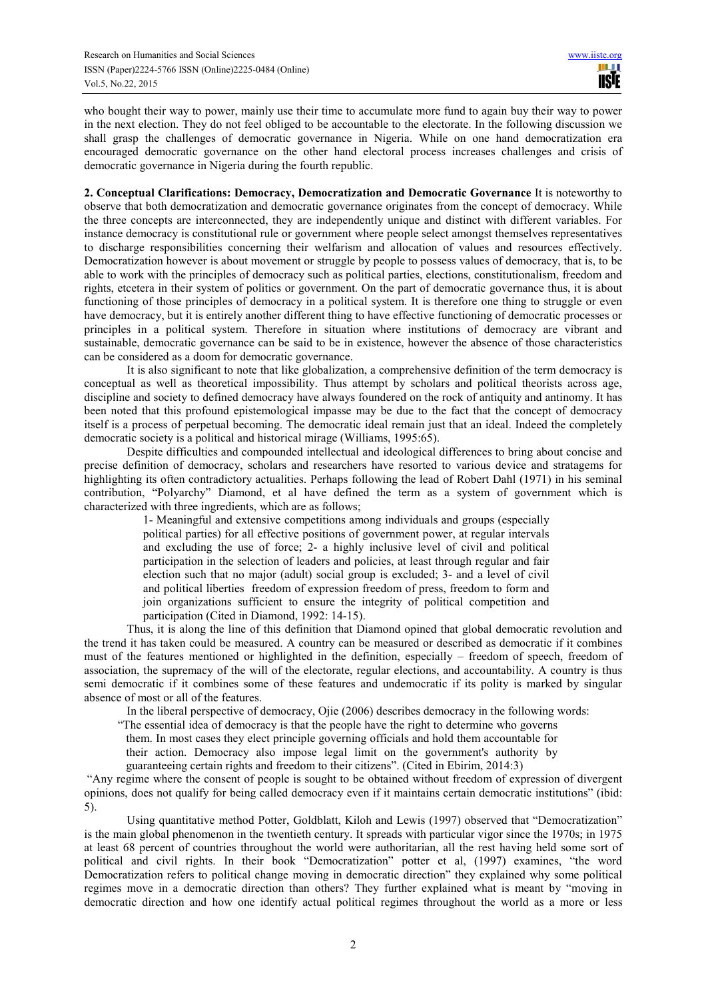who bought their way to power, mainly use their time to accumulate more fund to again buy their way to power in the next election. They do not feel obliged to be accountable to the electorate. In the following discussion we shall grasp the challenges of democratic governance in Nigeria. While on one hand democratization era encouraged democratic governance on the other hand electoral process increases challenges and crisis of democratic governance in Nigeria during the fourth republic.

**2. Conceptual Clarifications: Democracy, Democratization and Democratic Governance** It is noteworthy to observe that both democratization and democratic governance originates from the concept of democracy. While the three concepts are interconnected, they are independently unique and distinct with different variables. For instance democracy is constitutional rule or government where people select amongst themselves representatives to discharge responsibilities concerning their welfarism and allocation of values and resources effectively. Democratization however is about movement or struggle by people to possess values of democracy, that is, to be able to work with the principles of democracy such as political parties, elections, constitutionalism, freedom and rights, etcetera in their system of politics or government. On the part of democratic governance thus, it is about functioning of those principles of democracy in a political system. It is therefore one thing to struggle or even have democracy, but it is entirely another different thing to have effective functioning of democratic processes or principles in a political system. Therefore in situation where institutions of democracy are vibrant and sustainable, democratic governance can be said to be in existence, however the absence of those characteristics can be considered as a doom for democratic governance.

It is also significant to note that like globalization, a comprehensive definition of the term democracy is conceptual as well as theoretical impossibility. Thus attempt by scholars and political theorists across age, discipline and society to defined democracy have always foundered on the rock of antiquity and antinomy. It has been noted that this profound epistemological impasse may be due to the fact that the concept of democracy itself is a process of perpetual becoming. The democratic ideal remain just that an ideal. Indeed the completely democratic society is a political and historical mirage (Williams, 1995:65).

Despite difficulties and compounded intellectual and ideological differences to bring about concise and precise definition of democracy, scholars and researchers have resorted to various device and stratagems for highlighting its often contradictory actualities. Perhaps following the lead of Robert Dahl (1971) in his seminal contribution, "Polyarchy" Diamond, et al have defined the term as a system of government which is characterized with three ingredients, which are as follows;

> 1- Meaningful and extensive competitions among individuals and groups (especially political parties) for all effective positions of government power, at regular intervals and excluding the use of force; 2- a highly inclusive level of civil and political participation in the selection of leaders and policies, at least through regular and fair election such that no major (adult) social group is excluded; 3- and a level of civil and political liberties freedom of expression freedom of press, freedom to form and join organizations sufficient to ensure the integrity of political competition and participation (Cited in Diamond, 1992: 14-15).

Thus, it is along the line of this definition that Diamond opined that global democratic revolution and the trend it has taken could be measured. A country can be measured or described as democratic if it combines must of the features mentioned or highlighted in the definition, especially – freedom of speech, freedom of association, the supremacy of the will of the electorate, regular elections, and accountability. A country is thus semi democratic if it combines some of these features and undemocratic if its polity is marked by singular absence of most or all of the features.

In the liberal perspective of democracy, Ojie (2006) describes democracy in the following words:

"The essential idea of democracy is that the people have the right to determine who governs

them. In most cases they elect principle governing officials and hold them accountable for

their action. Democracy also impose legal limit on the government's authority by

guaranteeing certain rights and freedom to their citizens". (Cited in Ebirim, 2014:3)

 "Any regime where the consent of people is sought to be obtained without freedom of expression of divergent opinions, does not qualify for being called democracy even if it maintains certain democratic institutions" (ibid: 5).

Using quantitative method Potter, Goldblatt, Kiloh and Lewis (1997) observed that "Democratization" is the main global phenomenon in the twentieth century. It spreads with particular vigor since the 1970s; in 1975 at least 68 percent of countries throughout the world were authoritarian, all the rest having held some sort of political and civil rights. In their book "Democratization" potter et al, (1997) examines, "the word Democratization refers to political change moving in democratic direction" they explained why some political regimes move in a democratic direction than others? They further explained what is meant by "moving in democratic direction and how one identify actual political regimes throughout the world as a more or less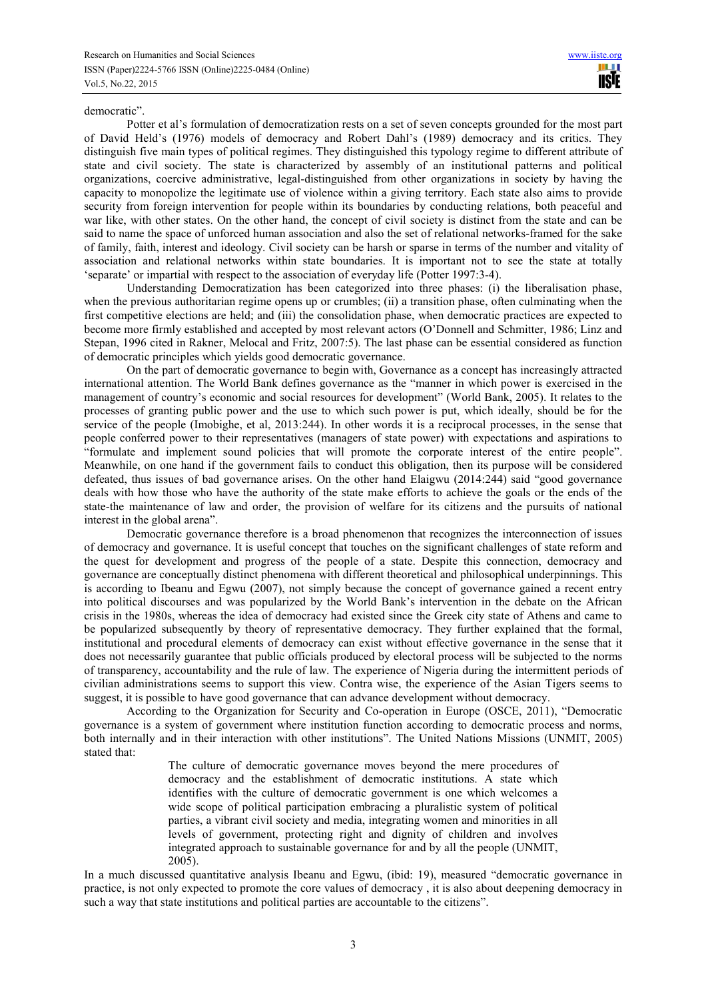#### democratic".

Potter et al's formulation of democratization rests on a set of seven concepts grounded for the most part of David Held's (1976) models of democracy and Robert Dahl's (1989) democracy and its critics. They distinguish five main types of political regimes. They distinguished this typology regime to different attribute of state and civil society. The state is characterized by assembly of an institutional patterns and political organizations, coercive administrative, legal-distinguished from other organizations in society by having the capacity to monopolize the legitimate use of violence within a giving territory. Each state also aims to provide security from foreign intervention for people within its boundaries by conducting relations, both peaceful and war like, with other states. On the other hand, the concept of civil society is distinct from the state and can be said to name the space of unforced human association and also the set of relational networks-framed for the sake of family, faith, interest and ideology. Civil society can be harsh or sparse in terms of the number and vitality of association and relational networks within state boundaries. It is important not to see the state at totally 'separate' or impartial with respect to the association of everyday life (Potter 1997:3-4).

Understanding Democratization has been categorized into three phases: (i) the liberalisation phase, when the previous authoritarian regime opens up or crumbles; (ii) a transition phase, often culminating when the first competitive elections are held; and (iii) the consolidation phase, when democratic practices are expected to become more firmly established and accepted by most relevant actors (O'Donnell and Schmitter, 1986; Linz and Stepan, 1996 cited in Rakner, Melocal and Fritz, 2007:5). The last phase can be essential considered as function of democratic principles which yields good democratic governance.

On the part of democratic governance to begin with, Governance as a concept has increasingly attracted international attention. The World Bank defines governance as the "manner in which power is exercised in the management of country's economic and social resources for development" (World Bank, 2005). It relates to the processes of granting public power and the use to which such power is put, which ideally, should be for the service of the people (Imobighe, et al, 2013:244). In other words it is a reciprocal processes, in the sense that people conferred power to their representatives (managers of state power) with expectations and aspirations to "formulate and implement sound policies that will promote the corporate interest of the entire people". Meanwhile, on one hand if the government fails to conduct this obligation, then its purpose will be considered defeated, thus issues of bad governance arises. On the other hand Elaigwu (2014:244) said "good governance deals with how those who have the authority of the state make efforts to achieve the goals or the ends of the state-the maintenance of law and order, the provision of welfare for its citizens and the pursuits of national interest in the global arena".

Democratic governance therefore is a broad phenomenon that recognizes the interconnection of issues of democracy and governance. It is useful concept that touches on the significant challenges of state reform and the quest for development and progress of the people of a state. Despite this connection, democracy and governance are conceptually distinct phenomena with different theoretical and philosophical underpinnings. This is according to Ibeanu and Egwu (2007), not simply because the concept of governance gained a recent entry into political discourses and was popularized by the World Bank's intervention in the debate on the African crisis in the 1980s, whereas the idea of democracy had existed since the Greek city state of Athens and came to be popularized subsequently by theory of representative democracy. They further explained that the formal, institutional and procedural elements of democracy can exist without effective governance in the sense that it does not necessarily guarantee that public officials produced by electoral process will be subjected to the norms of transparency, accountability and the rule of law. The experience of Nigeria during the intermittent periods of civilian administrations seems to support this view. Contra wise, the experience of the Asian Tigers seems to suggest, it is possible to have good governance that can advance development without democracy.

According to the Organization for Security and Co-operation in Europe (OSCE, 2011), "Democratic governance is a system of government where institution function according to democratic process and norms, both internally and in their interaction with other institutions". The United Nations Missions (UNMIT, 2005) stated that:

> The culture of democratic governance moves beyond the mere procedures of democracy and the establishment of democratic institutions. A state which identifies with the culture of democratic government is one which welcomes a wide scope of political participation embracing a pluralistic system of political parties, a vibrant civil society and media, integrating women and minorities in all levels of government, protecting right and dignity of children and involves integrated approach to sustainable governance for and by all the people (UNMIT, 2005).

In a much discussed quantitative analysis Ibeanu and Egwu, (ibid: 19), measured "democratic governance in practice, is not only expected to promote the core values of democracy , it is also about deepening democracy in such a way that state institutions and political parties are accountable to the citizens".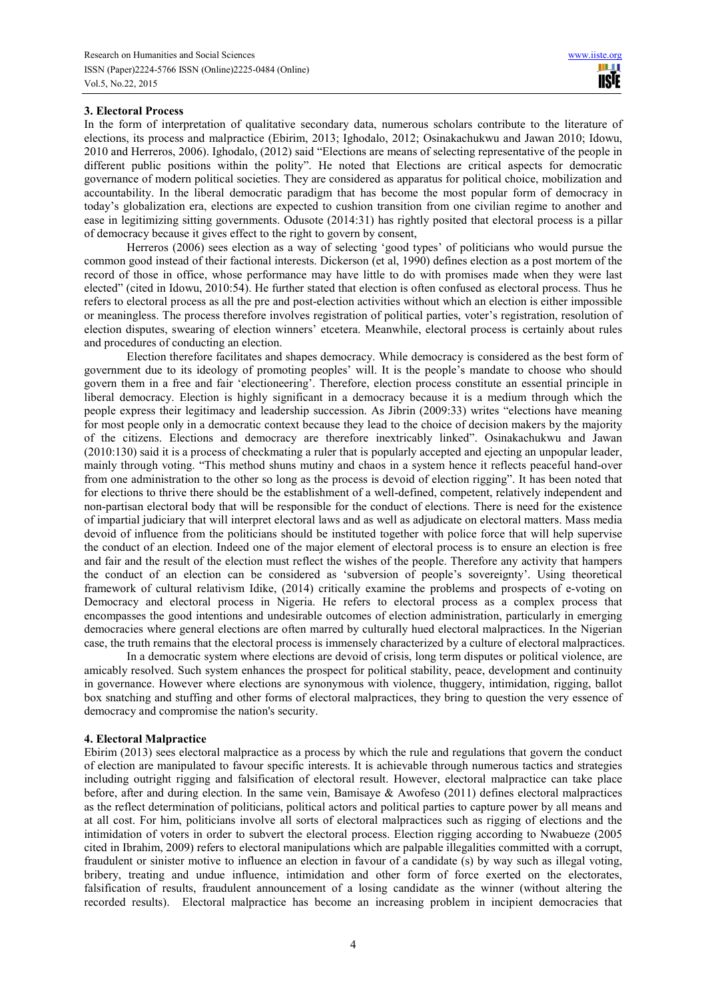#### **3. Electoral Process**

In the form of interpretation of qualitative secondary data, numerous scholars contribute to the literature of elections, its process and malpractice (Ebirim, 2013; Ighodalo, 2012; Osinakachukwu and Jawan 2010; Idowu, 2010 and Herreros, 2006). Ighodalo, (2012) said "Elections are means of selecting representative of the people in different public positions within the polity". He noted that Elections are critical aspects for democratic governance of modern political societies. They are considered as apparatus for political choice, mobilization and accountability. In the liberal democratic paradigm that has become the most popular form of democracy in today's globalization era, elections are expected to cushion transition from one civilian regime to another and ease in legitimizing sitting governments. Odusote (2014:31) has rightly posited that electoral process is a pillar of democracy because it gives effect to the right to govern by consent,

Herreros (2006) sees election as a way of selecting 'good types' of politicians who would pursue the common good instead of their factional interests. Dickerson (et al, 1990) defines election as a post mortem of the record of those in office, whose performance may have little to do with promises made when they were last elected" (cited in Idowu, 2010:54). He further stated that election is often confused as electoral process. Thus he refers to electoral process as all the pre and post-election activities without which an election is either impossible or meaningless. The process therefore involves registration of political parties, voter's registration, resolution of election disputes, swearing of election winners' etcetera. Meanwhile, electoral process is certainly about rules and procedures of conducting an election.

Election therefore facilitates and shapes democracy. While democracy is considered as the best form of government due to its ideology of promoting peoples' will. It is the people's mandate to choose who should govern them in a free and fair 'electioneering'. Therefore, election process constitute an essential principle in liberal democracy. Election is highly significant in a democracy because it is a medium through which the people express their legitimacy and leadership succession. As Jibrin (2009:33) writes "elections have meaning for most people only in a democratic context because they lead to the choice of decision makers by the majority of the citizens. Elections and democracy are therefore inextricably linked". Osinakachukwu and Jawan (2010:130) said it is a process of checkmating a ruler that is popularly accepted and ejecting an unpopular leader, mainly through voting. "This method shuns mutiny and chaos in a system hence it reflects peaceful hand-over from one administration to the other so long as the process is devoid of election rigging". It has been noted that for elections to thrive there should be the establishment of a well-defined, competent, relatively independent and non-partisan electoral body that will be responsible for the conduct of elections. There is need for the existence of impartial judiciary that will interpret electoral laws and as well as adjudicate on electoral matters. Mass media devoid of influence from the politicians should be instituted together with police force that will help supervise the conduct of an election. Indeed one of the major element of electoral process is to ensure an election is free and fair and the result of the election must reflect the wishes of the people. Therefore any activity that hampers the conduct of an election can be considered as 'subversion of people's sovereignty'. Using theoretical framework of cultural relativism Idike, (2014) critically examine the problems and prospects of e-voting on Democracy and electoral process in Nigeria. He refers to electoral process as a complex process that encompasses the good intentions and undesirable outcomes of election administration, particularly in emerging democracies where general elections are often marred by culturally hued electoral malpractices. In the Nigerian case, the truth remains that the electoral process is immensely characterized by a culture of electoral malpractices.

In a democratic system where elections are devoid of crisis, long term disputes or political violence, are amicably resolved. Such system enhances the prospect for political stability, peace, development and continuity in governance. However where elections are synonymous with violence, thuggery, intimidation, rigging, ballot box snatching and stuffing and other forms of electoral malpractices, they bring to question the very essence of democracy and compromise the nation's security.

## **4. Electoral Malpractice**

Ebirim (2013) sees electoral malpractice as a process by which the rule and regulations that govern the conduct of election are manipulated to favour specific interests. It is achievable through numerous tactics and strategies including outright rigging and falsification of electoral result. However, electoral malpractice can take place before, after and during election. In the same vein, Bamisaye & Awofeso (2011) defines electoral malpractices as the reflect determination of politicians, political actors and political parties to capture power by all means and at all cost. For him, politicians involve all sorts of electoral malpractices such as rigging of elections and the intimidation of voters in order to subvert the electoral process. Election rigging according to Nwabueze (2005 cited in Ibrahim, 2009) refers to electoral manipulations which are palpable illegalities committed with a corrupt, fraudulent or sinister motive to influence an election in favour of a candidate (s) by way such as illegal voting, bribery, treating and undue influence, intimidation and other form of force exerted on the electorates, falsification of results, fraudulent announcement of a losing candidate as the winner (without altering the recorded results). Electoral malpractice has become an increasing problem in incipient democracies that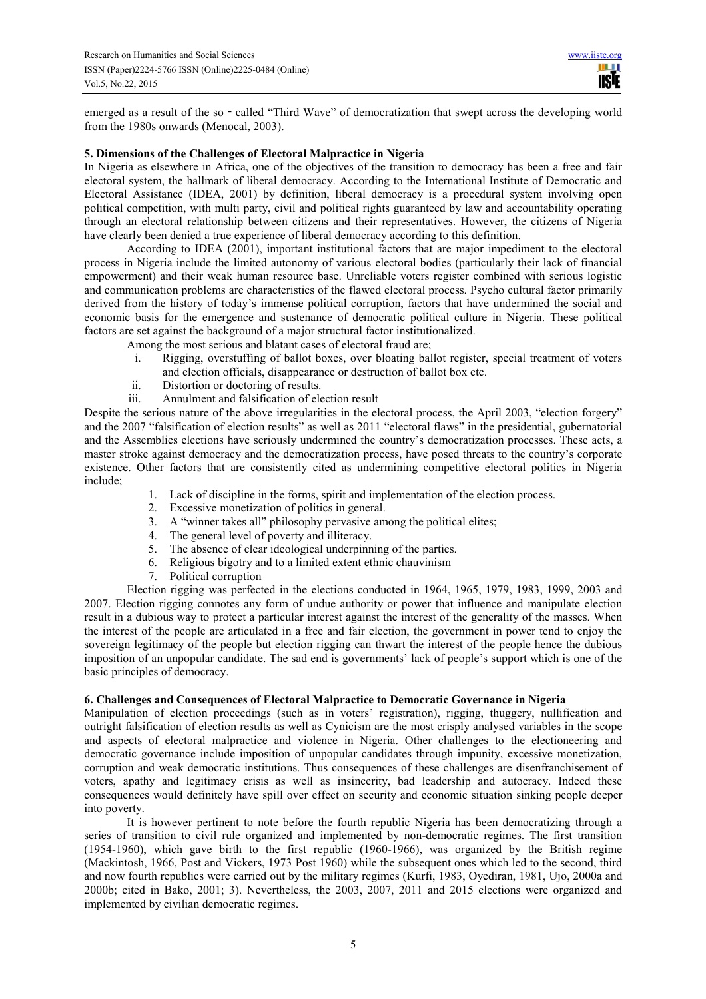emerged as a result of the so - called "Third Wave" of democratization that swept across the developing world from the 1980s onwards (Menocal, 2003).

### **5. Dimensions of the Challenges of Electoral Malpractice in Nigeria**

In Nigeria as elsewhere in Africa, one of the objectives of the transition to democracy has been a free and fair electoral system, the hallmark of liberal democracy. According to the International Institute of Democratic and Electoral Assistance (IDEA, 2001) by definition, liberal democracy is a procedural system involving open political competition, with multi party, civil and political rights guaranteed by law and accountability operating through an electoral relationship between citizens and their representatives. However, the citizens of Nigeria have clearly been denied a true experience of liberal democracy according to this definition.

According to IDEA (2001), important institutional factors that are major impediment to the electoral process in Nigeria include the limited autonomy of various electoral bodies (particularly their lack of financial empowerment) and their weak human resource base. Unreliable voters register combined with serious logistic and communication problems are characteristics of the flawed electoral process. Psycho cultural factor primarily derived from the history of today's immense political corruption, factors that have undermined the social and economic basis for the emergence and sustenance of democratic political culture in Nigeria. These political factors are set against the background of a major structural factor institutionalized.

Among the most serious and blatant cases of electoral fraud are;

- i. Rigging, overstuffing of ballot boxes, over bloating ballot register, special treatment of voters and election officials, disappearance or destruction of ballot box etc.
- ii. Distortion or doctoring of results.
- iii. Annulment and falsification of election result

Despite the serious nature of the above irregularities in the electoral process, the April 2003, "election forgery" and the 2007 "falsification of election results" as well as 2011 "electoral flaws" in the presidential, gubernatorial and the Assemblies elections have seriously undermined the country's democratization processes. These acts, a master stroke against democracy and the democratization process, have posed threats to the country's corporate existence. Other factors that are consistently cited as undermining competitive electoral politics in Nigeria include;

- 1. Lack of discipline in the forms, spirit and implementation of the election process.
- 2. Excessive monetization of politics in general.
- 3. A "winner takes all" philosophy pervasive among the political elites;
- 4. The general level of poverty and illiteracy.
- 5. The absence of clear ideological underpinning of the parties.
- 6. Religious bigotry and to a limited extent ethnic chauvinism<br>7. Political corruption
- Political corruption

Election rigging was perfected in the elections conducted in 1964, 1965, 1979, 1983, 1999, 2003 and 2007. Election rigging connotes any form of undue authority or power that influence and manipulate election result in a dubious way to protect a particular interest against the interest of the generality of the masses. When the interest of the people are articulated in a free and fair election, the government in power tend to enjoy the sovereign legitimacy of the people but election rigging can thwart the interest of the people hence the dubious imposition of an unpopular candidate. The sad end is governments' lack of people's support which is one of the basic principles of democracy.

## **6. Challenges and Consequences of Electoral Malpractice to Democratic Governance in Nigeria**

Manipulation of election proceedings (such as in voters' registration), rigging, thuggery, nullification and outright falsification of election results as well as Cynicism are the most crisply analysed variables in the scope and aspects of electoral malpractice and violence in Nigeria. Other challenges to the electioneering and democratic governance include imposition of unpopular candidates through impunity, excessive monetization, corruption and weak democratic institutions. Thus consequences of these challenges are disenfranchisement of voters, apathy and legitimacy crisis as well as insincerity, bad leadership and autocracy. Indeed these consequences would definitely have spill over effect on security and economic situation sinking people deeper into poverty.

It is however pertinent to note before the fourth republic Nigeria has been democratizing through a series of transition to civil rule organized and implemented by non-democratic regimes. The first transition (1954-1960), which gave birth to the first republic (1960-1966), was organized by the British regime (Mackintosh, 1966, Post and Vickers, 1973 Post 1960) while the subsequent ones which led to the second, third and now fourth republics were carried out by the military regimes (Kurfi, 1983, Oyediran, 1981, Ujo, 2000a and 2000b; cited in Bako, 2001; 3). Nevertheless, the 2003, 2007, 2011 and 2015 elections were organized and implemented by civilian democratic regimes.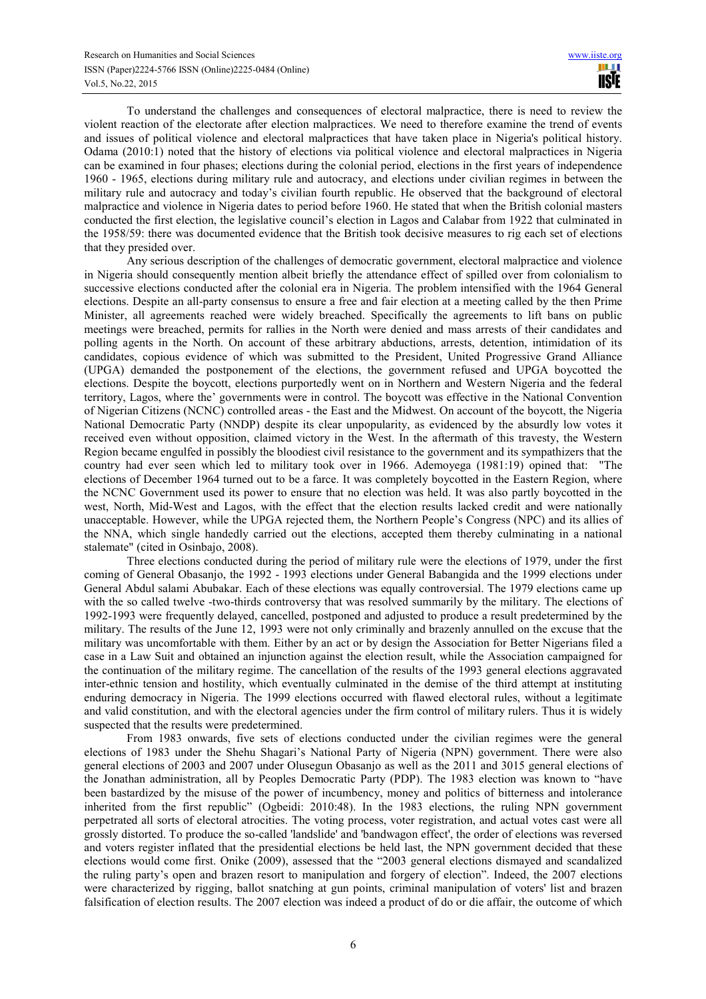To understand the challenges and consequences of electoral malpractice, there is need to review the violent reaction of the electorate after election malpractices. We need to therefore examine the trend of events and issues of political violence and electoral malpractices that have taken place in Nigeria's political history. Odama (2010:1) noted that the history of elections via political violence and electoral malpractices in Nigeria can be examined in four phases; elections during the colonial period, elections in the first years of independence 1960 - 1965, elections during military rule and autocracy, and elections under civilian regimes in between the military rule and autocracy and today's civilian fourth republic. He observed that the background of electoral malpractice and violence in Nigeria dates to period before 1960. He stated that when the British colonial masters conducted the first election, the legislative council's election in Lagos and Calabar from 1922 that culminated in the 1958/59: there was documented evidence that the British took decisive measures to rig each set of elections that they presided over.

Any serious description of the challenges of democratic government, electoral malpractice and violence in Nigeria should consequently mention albeit briefly the attendance effect of spilled over from colonialism to successive elections conducted after the colonial era in Nigeria. The problem intensified with the 1964 General elections. Despite an all-party consensus to ensure a free and fair election at a meeting called by the then Prime Minister, all agreements reached were widely breached. Specifically the agreements to lift bans on public meetings were breached, permits for rallies in the North were denied and mass arrests of their candidates and polling agents in the North. On account of these arbitrary abductions, arrests, detention, intimidation of its candidates, copious evidence of which was submitted to the President, United Progressive Grand Alliance (UPGA) demanded the postponement of the elections, the government refused and UPGA boycotted the elections. Despite the boycott, elections purportedly went on in Northern and Western Nigeria and the federal territory, Lagos, where the' governments were in control. The boycott was effective in the National Convention of Nigerian Citizens (NCNC) controlled areas - the East and the Midwest. On account of the boycott, the Nigeria National Democratic Party (NNDP) despite its clear unpopularity, as evidenced by the absurdly low votes it received even without opposition, claimed victory in the West. In the aftermath of this travesty, the Western Region became engulfed in possibly the bloodiest civil resistance to the government and its sympathizers that the country had ever seen which led to military took over in 1966. Ademoyega (1981:19) opined that: "The elections of December 1964 turned out to be a farce. It was completely boycotted in the Eastern Region, where the NCNC Government used its power to ensure that no election was held. It was also partly boycotted in the west, North, Mid-West and Lagos, with the effect that the election results lacked credit and were nationally unacceptable. However, while the UPGA rejected them, the Northern People's Congress (NPC) and its allies of the NNA, which single handedly carried out the elections, accepted them thereby culminating in a national stalemate" (cited in Osinbajo, 2008).

Three elections conducted during the period of military rule were the elections of 1979, under the first coming of General Obasanjo, the 1992 - 1993 elections under General Babangida and the 1999 elections under General Abdul salami Abubakar. Each of these elections was equally controversial. The 1979 elections came up with the so called twelve -two-thirds controversy that was resolved summarily by the military. The elections of 1992-1993 were frequently delayed, cancelled, postponed and adjusted to produce a result predetermined by the military. The results of the June 12, 1993 were not only criminally and brazenly annulled on the excuse that the military was uncomfortable with them. Either by an act or by design the Association for Better Nigerians filed a case in a Law Suit and obtained an injunction against the election result, while the Association campaigned for the continuation of the military regime. The cancellation of the results of the 1993 general elections aggravated inter-ethnic tension and hostility, which eventually culminated in the demise of the third attempt at instituting enduring democracy in Nigeria. The 1999 elections occurred with flawed electoral rules, without a legitimate and valid constitution, and with the electoral agencies under the firm control of military rulers. Thus it is widely suspected that the results were predetermined.

From 1983 onwards, five sets of elections conducted under the civilian regimes were the general elections of 1983 under the Shehu Shagari's National Party of Nigeria (NPN) government. There were also general elections of 2003 and 2007 under Olusegun Obasanjo as well as the 2011 and 3015 general elections of the Jonathan administration, all by Peoples Democratic Party (PDP). The 1983 election was known to "have been bastardized by the misuse of the power of incumbency, money and politics of bitterness and intolerance inherited from the first republic" (Ogbeidi: 2010:48). In the 1983 elections, the ruling NPN government perpetrated all sorts of electoral atrocities. The voting process, voter registration, and actual votes cast were all grossly distorted. To produce the so-called 'landslide' and 'bandwagon effect', the order of elections was reversed and voters register inflated that the presidential elections be held last, the NPN government decided that these elections would come first. Onike (2009), assessed that the "2003 general elections dismayed and scandalized the ruling party's open and brazen resort to manipulation and forgery of election". Indeed, the 2007 elections were characterized by rigging, ballot snatching at gun points, criminal manipulation of voters' list and brazen falsification of election results. The 2007 election was indeed a product of do or die affair, the outcome of which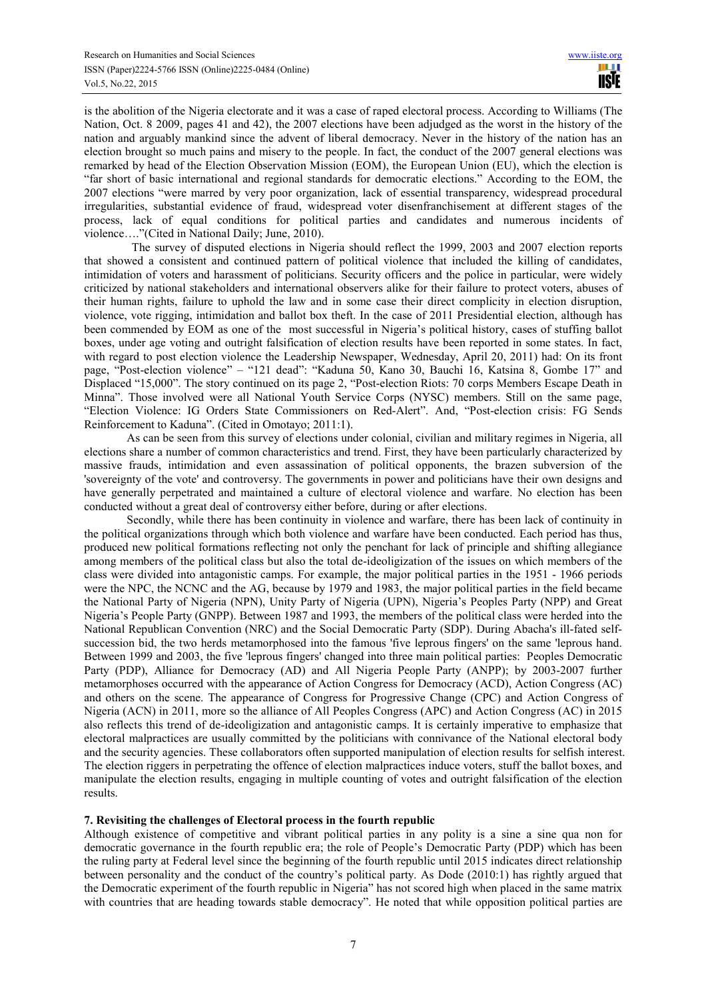is the abolition of the Nigeria electorate and it was a case of raped electoral process. According to Williams (The Nation, Oct. 8 2009, pages 41 and 42), the 2007 elections have been adjudged as the worst in the history of the nation and arguably mankind since the advent of liberal democracy. Never in the history of the nation has an election brought so much pains and misery to the people. In fact, the conduct of the 2007 general elections was remarked by head of the Election Observation Mission (EOM), the European Union (EU), which the election is "far short of basic international and regional standards for democratic elections." According to the EOM, the 2007 elections "were marred by very poor organization, lack of essential transparency, widespread procedural irregularities, substantial evidence of fraud, widespread voter disenfranchisement at different stages of the process, lack of equal conditions for political parties and candidates and numerous incidents of violence…."(Cited in National Daily; June, 2010).

The survey of disputed elections in Nigeria should reflect the 1999, 2003 and 2007 election reports that showed a consistent and continued pattern of political violence that included the killing of candidates, intimidation of voters and harassment of politicians. Security officers and the police in particular, were widely criticized by national stakeholders and international observers alike for their failure to protect voters, abuses of their human rights, failure to uphold the law and in some case their direct complicity in election disruption, violence, vote rigging, intimidation and ballot box theft. In the case of 2011 Presidential election, although has been commended by EOM as one of the most successful in Nigeria's political history, cases of stuffing ballot boxes, under age voting and outright falsification of election results have been reported in some states. In fact, with regard to post election violence the Leadership Newspaper, Wednesday, April 20, 2011) had: On its front page, "Post-election violence" – "121 dead": "Kaduna 50, Kano 30, Bauchi 16, Katsina 8, Gombe 17" and Displaced "15,000". The story continued on its page 2, "Post-election Riots: 70 corps Members Escape Death in Minna". Those involved were all National Youth Service Corps (NYSC) members. Still on the same page, "Election Violence: IG Orders State Commissioners on Red-Alert". And, "Post-election crisis: FG Sends Reinforcement to Kaduna". (Cited in Omotayo; 2011:1).

As can be seen from this survey of elections under colonial, civilian and military regimes in Nigeria, all elections share a number of common characteristics and trend. First, they have been particularly characterized by massive frauds, intimidation and even assassination of political opponents, the brazen subversion of the 'sovereignty of the vote' and controversy. The governments in power and politicians have their own designs and have generally perpetrated and maintained a culture of electoral violence and warfare. No election has been conducted without a great deal of controversy either before, during or after elections.

Secondly, while there has been continuity in violence and warfare, there has been lack of continuity in the political organizations through which both violence and warfare have been conducted. Each period has thus, produced new political formations reflecting not only the penchant for lack of principle and shifting allegiance among members of the political class but also the total de-ideoligization of the issues on which members of the class were divided into antagonistic camps. For example, the major political parties in the 1951 - 1966 periods were the NPC, the NCNC and the AG, because by 1979 and 1983, the major political parties in the field became the National Party of Nigeria (NPN), Unity Party of Nigeria (UPN), Nigeria's Peoples Party (NPP) and Great Nigeria's People Party (GNPP). Between 1987 and 1993, the members of the political class were herded into the National Republican Convention (NRC) and the Social Democratic Party (SDP). During Abacha's ill-fated selfsuccession bid, the two herds metamorphosed into the famous 'five leprous fingers' on the same 'leprous hand. Between 1999 and 2003, the five 'leprous fingers' changed into three main political parties: Peoples Democratic Party (PDP), Alliance for Democracy (AD) and All Nigeria People Party (ANPP); by 2003-2007 further metamorphoses occurred with the appearance of Action Congress for Democracy (ACD), Action Congress (AC) and others on the scene. The appearance of Congress for Progressive Change (CPC) and Action Congress of Nigeria (ACN) in 2011, more so the alliance of All Peoples Congress (APC) and Action Congress (AC) in 2015 also reflects this trend of de-ideoligization and antagonistic camps. It is certainly imperative to emphasize that electoral malpractices are usually committed by the politicians with connivance of the National electoral body and the security agencies. These collaborators often supported manipulation of election results for selfish interest. The election riggers in perpetrating the offence of election malpractices induce voters, stuff the ballot boxes, and manipulate the election results, engaging in multiple counting of votes and outright falsification of the election results.

## **7. Revisiting the challenges of Electoral process in the fourth republic**

Although existence of competitive and vibrant political parties in any polity is a sine a sine qua non for democratic governance in the fourth republic era; the role of People's Democratic Party (PDP) which has been the ruling party at Federal level since the beginning of the fourth republic until 2015 indicates direct relationship between personality and the conduct of the country's political party. As Dode (2010:1) has rightly argued that the Democratic experiment of the fourth republic in Nigeria" has not scored high when placed in the same matrix with countries that are heading towards stable democracy". He noted that while opposition political parties are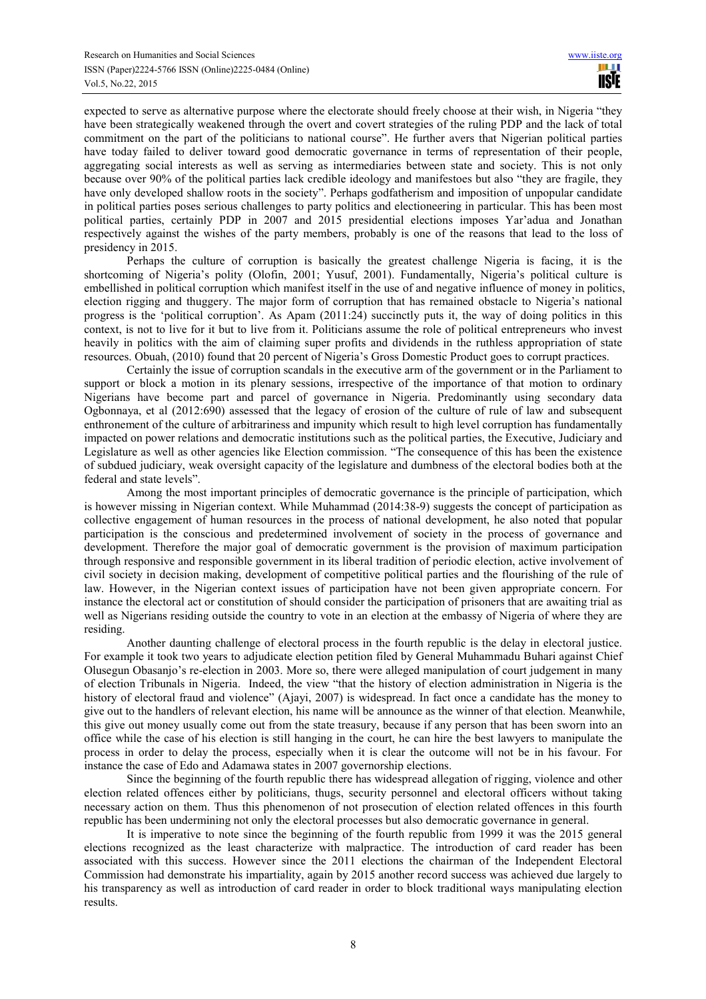expected to serve as alternative purpose where the electorate should freely choose at their wish, in Nigeria "they have been strategically weakened through the overt and covert strategies of the ruling PDP and the lack of total commitment on the part of the politicians to national course". He further avers that Nigerian political parties have today failed to deliver toward good democratic governance in terms of representation of their people, aggregating social interests as well as serving as intermediaries between state and society. This is not only because over 90% of the political parties lack credible ideology and manifestoes but also "they are fragile, they have only developed shallow roots in the society". Perhaps godfatherism and imposition of unpopular candidate in political parties poses serious challenges to party politics and electioneering in particular. This has been most political parties, certainly PDP in 2007 and 2015 presidential elections imposes Yar'adua and Jonathan respectively against the wishes of the party members, probably is one of the reasons that lead to the loss of presidency in 2015.

Perhaps the culture of corruption is basically the greatest challenge Nigeria is facing, it is the shortcoming of Nigeria's polity (Olofin, 2001; Yusuf, 2001). Fundamentally, Nigeria's political culture is embellished in political corruption which manifest itself in the use of and negative influence of money in politics, election rigging and thuggery. The major form of corruption that has remained obstacle to Nigeria's national progress is the 'political corruption'. As Apam (2011:24) succinctly puts it, the way of doing politics in this context, is not to live for it but to live from it. Politicians assume the role of political entrepreneurs who invest heavily in politics with the aim of claiming super profits and dividends in the ruthless appropriation of state resources. Obuah, (2010) found that 20 percent of Nigeria's Gross Domestic Product goes to corrupt practices.

Certainly the issue of corruption scandals in the executive arm of the government or in the Parliament to support or block a motion in its plenary sessions, irrespective of the importance of that motion to ordinary Nigerians have become part and parcel of governance in Nigeria. Predominantly using secondary data Ogbonnaya, et al (2012:690) assessed that the legacy of erosion of the culture of rule of law and subsequent enthronement of the culture of arbitrariness and impunity which result to high level corruption has fundamentally impacted on power relations and democratic institutions such as the political parties, the Executive, Judiciary and Legislature as well as other agencies like Election commission. "The consequence of this has been the existence of subdued judiciary, weak oversight capacity of the legislature and dumbness of the electoral bodies both at the federal and state levels".

Among the most important principles of democratic governance is the principle of participation, which is however missing in Nigerian context. While Muhammad (2014:38-9) suggests the concept of participation as collective engagement of human resources in the process of national development, he also noted that popular participation is the conscious and predetermined involvement of society in the process of governance and development. Therefore the major goal of democratic government is the provision of maximum participation through responsive and responsible government in its liberal tradition of periodic election, active involvement of civil society in decision making, development of competitive political parties and the flourishing of the rule of law. However, in the Nigerian context issues of participation have not been given appropriate concern. For instance the electoral act or constitution of should consider the participation of prisoners that are awaiting trial as well as Nigerians residing outside the country to vote in an election at the embassy of Nigeria of where they are residing.

Another daunting challenge of electoral process in the fourth republic is the delay in electoral justice. For example it took two years to adjudicate election petition filed by General Muhammadu Buhari against Chief Olusegun Obasanjo's re-election in 2003. More so, there were alleged manipulation of court judgement in many of election Tribunals in Nigeria. Indeed, the view "that the history of election administration in Nigeria is the history of electoral fraud and violence" (Ajayi, 2007) is widespread. In fact once a candidate has the money to give out to the handlers of relevant election, his name will be announce as the winner of that election. Meanwhile, this give out money usually come out from the state treasury, because if any person that has been sworn into an office while the case of his election is still hanging in the court, he can hire the best lawyers to manipulate the process in order to delay the process, especially when it is clear the outcome will not be in his favour. For instance the case of Edo and Adamawa states in 2007 governorship elections.

Since the beginning of the fourth republic there has widespread allegation of rigging, violence and other election related offences either by politicians, thugs, security personnel and electoral officers without taking necessary action on them. Thus this phenomenon of not prosecution of election related offences in this fourth republic has been undermining not only the electoral processes but also democratic governance in general.

It is imperative to note since the beginning of the fourth republic from 1999 it was the 2015 general elections recognized as the least characterize with malpractice. The introduction of card reader has been associated with this success. However since the 2011 elections the chairman of the Independent Electoral Commission had demonstrate his impartiality, again by 2015 another record success was achieved due largely to his transparency as well as introduction of card reader in order to block traditional ways manipulating election results.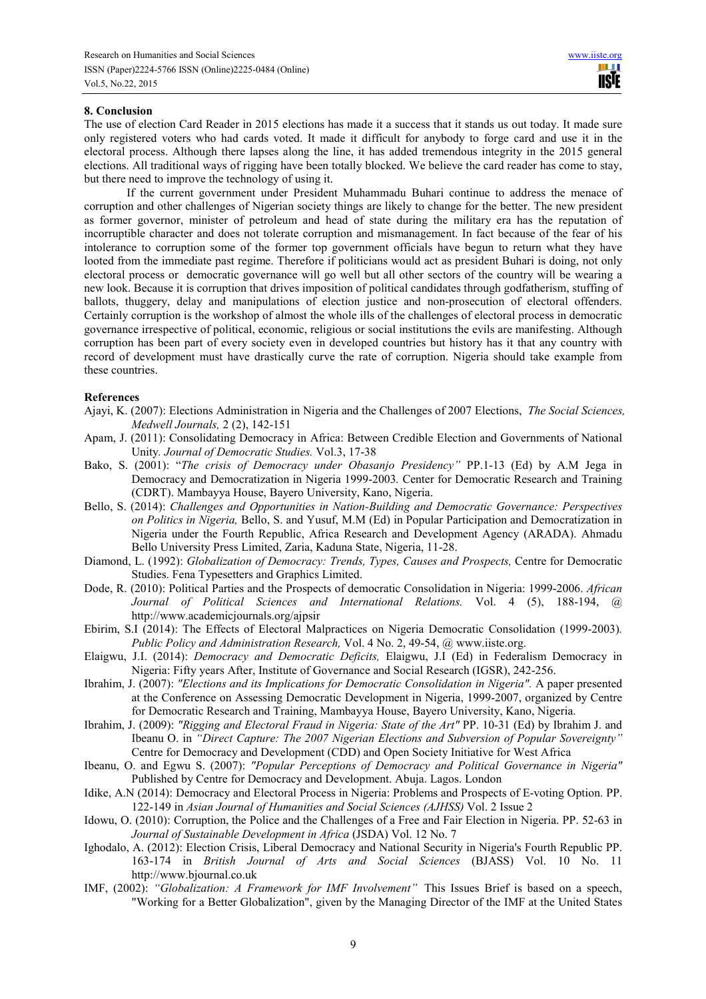#### **8. Conclusion**

The use of election Card Reader in 2015 elections has made it a success that it stands us out today. It made sure only registered voters who had cards voted. It made it difficult for anybody to forge card and use it in the electoral process. Although there lapses along the line, it has added tremendous integrity in the 2015 general elections. All traditional ways of rigging have been totally blocked. We believe the card reader has come to stay, but there need to improve the technology of using it.

If the current government under President Muhammadu Buhari continue to address the menace of corruption and other challenges of Nigerian society things are likely to change for the better. The new president as former governor, minister of petroleum and head of state during the military era has the reputation of incorruptible character and does not tolerate corruption and mismanagement. In fact because of the fear of his intolerance to corruption some of the former top government officials have begun to return what they have looted from the immediate past regime. Therefore if politicians would act as president Buhari is doing, not only electoral process or democratic governance will go well but all other sectors of the country will be wearing a new look. Because it is corruption that drives imposition of political candidates through godfatherism, stuffing of ballots, thuggery, delay and manipulations of election justice and non-prosecution of electoral offenders. Certainly corruption is the workshop of almost the whole ills of the challenges of electoral process in democratic governance irrespective of political, economic, religious or social institutions the evils are manifesting. Although corruption has been part of every society even in developed countries but history has it that any country with record of development must have drastically curve the rate of corruption. Nigeria should take example from these countries.

#### **References**

- Ajayi, K. (2007): Elections Administration in Nigeria and the Challenges of 2007 Elections, *The Social Sciences, Medwell Journals,* 2 (2), 142-151
- Apam, J. (2011): Consolidating Democracy in Africa: Between Credible Election and Governments of National Unity*. Journal of Democratic Studies.* Vol.3, 17-38
- Bako, S. (2001): "*The crisis of Democracy under Obasanjo Presidency"* PP.1-13 (Ed) by A.M Jega in Democracy and Democratization in Nigeria 1999-2003*.* Center for Democratic Research and Training (CDRT). Mambayya House, Bayero University, Kano, Nigeria.
- Bello, S. (2014): *Challenges and Opportunities in Nation-Building and Democratic Governance: Perspectives on Politics in Nigeria,* Bello, S. and Yusuf, M.M (Ed) in Popular Participation and Democratization in Nigeria under the Fourth Republic, Africa Research and Development Agency (ARADA). Ahmadu Bello University Press Limited, Zaria, Kaduna State, Nigeria, 11-28.
- Diamond, L. (1992): *Globalization of Democracy: Trends, Types, Causes and Prospects,* Centre for Democratic Studies. Fena Typesetters and Graphics Limited.
- Dode, R. (2010): Political Parties and the Prospects of democratic Consolidation in Nigeria: 1999-2006. *African Journal of Political Sciences and International Relations.* Vol. 4 (5), 188-194, @ http://www.academicjournals.org/ajpsir
- Ebirim, S.I (2014): The Effects of Electoral Malpractices on Nigeria Democratic Consolidation (1999-2003)*. Public Policy and Administration Research,* Vol. 4 No. 2, 49-54, @ www.iiste.org.
- Elaigwu, J.I. (2014): *Democracy and Democratic Deficits,* Elaigwu, J.I (Ed) in Federalism Democracy in Nigeria: Fifty years After, Institute of Governance and Social Research (IGSR), 242-256.
- Ibrahim, J. (2007): *"Elections and its Implications for Democratic Consolidation in Nigeria".* A paper presented at the Conference on Assessing Democratic Development in Nigeria, 1999-2007, organized by Centre for Democratic Research and Training, Mambayya House, Bayero University, Kano, Nigeria.
- Ibrahim, J. (2009): *"Rigging and Electoral Fraud in Nigeria: State of the Art"* PP. 10-31 (Ed) by Ibrahim J. and Ibeanu O. in *"Direct Capture: The 2007 Nigerian Elections and Subversion of Popular Sovereignty"* Centre for Democracy and Development (CDD) and Open Society Initiative for West Africa
- Ibeanu, O. and Egwu S. (2007): *"Popular Perceptions of Democracy and Political Governance in Nigeria"* Published by Centre for Democracy and Development. Abuja. Lagos. London
- Idike, A.N (2014): Democracy and Electoral Process in Nigeria: Problems and Prospects of E-voting Option. PP. 122-149 in *Asian Journal of Humanities and Social Sciences (AJHSS)* Vol. 2 Issue 2
- Idowu, O. (2010): Corruption, the Police and the Challenges of a Free and Fair Election in Nigeria. PP. 52-63 in *Journal of Sustainable Development in Africa* (JSDA) Vol. 12 No. 7
- Ighodalo, A. (2012): Election Crisis, Liberal Democracy and National Security in Nigeria's Fourth Republic PP. 163-174 in *British Journal of Arts and Social Sciences* (BJASS) Vol. 10 No. 11 http://www.bjournal.co.uk
- IMF, (2002): *"Globalization: A Framework for IMF Involvement"* This Issues Brief is based on a speech, "Working for a Better Globalization", given by the Managing Director of the IMF at the United States